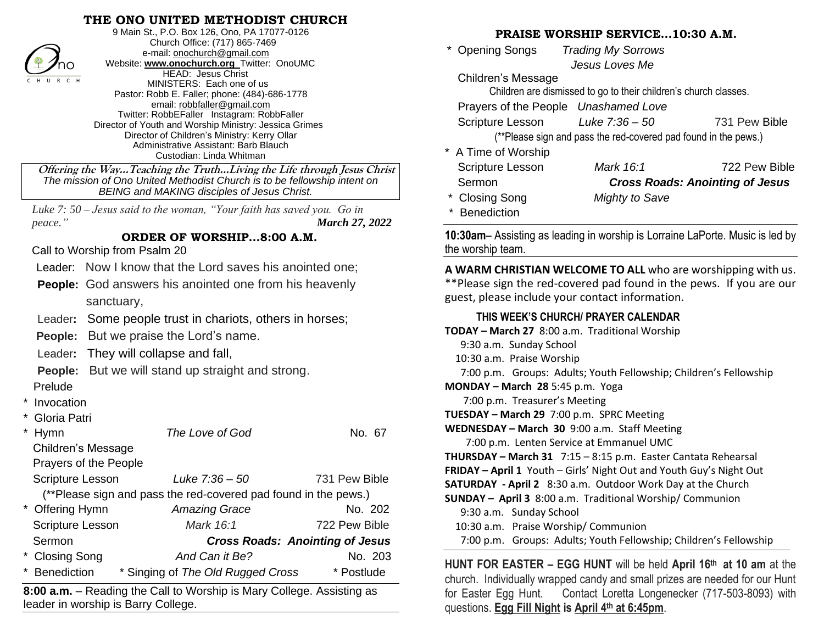## **THE ONO UNITED METHODIST CHURCH**



9 Main St., P.O. Box 126, Ono, PA 17077-0126 Church Office: (717) 865-7469 e-mail[: onochurch@gmail.com](mailto:onochurch@gmail.com) Website: **[www.onochurch.org](http://www.onochurch.org/)** Twitter: OnoUMC HEAD: Jesus Christ MINISTERS: Each one of us Pastor: Robb E. Faller; phone: (484)-686-1778 email: [robbfaller@gmail.com](mailto:robbfaller@gmail.com) Twitter: RobbEFaller Instagram: RobbFaller Director of Youth and Worship Ministry: Jessica Grimes Director of Children's Ministry: Kerry Ollar Administrative Assistant: Barb Blauch Custodian: Linda Whitman

 **Offering the Way…Teaching the Truth…Living the Life through Jesus Christ** *The mission of Ono United Methodist Church is to be fellowship intent on BEING and MAKING disciples of Jesus Christ.* 

 *Luke 7: 50 – Jesus said to the woman, "Your faith has saved you. Go in peace." March 27, 2022* 

## **ORDER OF WORSHIP…8:00 A.M.**

Call to Worship from Psalm 20

leader in worship is Barry College. 

- Leader: Now I know that the Lord saves his anointed one;
- **People:** God answers his anointed one from his heavenly sanctuary,
- Leader**:** Some people trust in chariots, others in horses;
- **People:** But we praise the Lord's name.
- Leader**:** They will collapse and fall,
- **People:** But we will stand up straight and strong.
- Prelude
- **Invocation** \* Gloria Patri

|                                                                       | ייש ו שווטיש                                                    |                                        |               |  |  |
|-----------------------------------------------------------------------|-----------------------------------------------------------------|----------------------------------------|---------------|--|--|
|                                                                       | Hymn                                                            | The Love of God                        | No. 67        |  |  |
|                                                                       | Children's Message                                              |                                        |               |  |  |
|                                                                       | Prayers of the People                                           |                                        |               |  |  |
|                                                                       | <b>Scripture Lesson</b>                                         | Luke 7:36 - 50                         | 731 Pew Bible |  |  |
|                                                                       | (**Please sign and pass the red-covered pad found in the pews.) |                                        |               |  |  |
|                                                                       | * Offering Hymn                                                 | <b>Amazing Grace</b>                   | No. 202       |  |  |
|                                                                       | <b>Scripture Lesson</b>                                         | Mark 16:1                              | 722 Pew Bible |  |  |
|                                                                       | Sermon                                                          | <b>Cross Roads: Anointing of Jesus</b> |               |  |  |
|                                                                       | * Closing Song                                                  | And Can it Be?                         | No. 203       |  |  |
|                                                                       | <b>Benediction</b>                                              | * Singing of The Old Rugged Cross      | * Postlude    |  |  |
| 8:00 a.m. – Reading the Call to Worship is Mary College. Assisting as |                                                                 |                                        |               |  |  |

## **PRAISE WORSHIP SERVICE…10:30 A.M.**

| * Opening Songs                                                                                    | <b>Trading My Sorrows</b><br>Jesus Loves Me                                                                                         |                                        |  |  |
|----------------------------------------------------------------------------------------------------|-------------------------------------------------------------------------------------------------------------------------------------|----------------------------------------|--|--|
| Children's Message                                                                                 | Children are dismissed to go to their children's church classes.                                                                    |                                        |  |  |
|                                                                                                    | Prayers of the People Unashamed Love                                                                                                |                                        |  |  |
| Scripture Lesson                                                                                   | Luke 7:36 – 50                                                                                                                      | 731 Pew Bible                          |  |  |
| * A Time of Worship                                                                                | (**Please sign and pass the red-covered pad found in the pews.)                                                                     |                                        |  |  |
| <b>Scripture Lesson</b>                                                                            | Mark 16:1                                                                                                                           | 722 Pew Bible                          |  |  |
| Sermon                                                                                             |                                                                                                                                     | <b>Cross Roads: Anointing of Jesus</b> |  |  |
| * Closing Song<br><b>Benediction</b><br>*                                                          | <b>Mighty to Save</b>                                                                                                               |                                        |  |  |
| 10:30am- Assisting as leading in worship is Lorraine LaPorte. Music is led by<br>the worship team. |                                                                                                                                     |                                        |  |  |
|                                                                                                    | A WARM CHRISTIAN WELCOME TO ALL who are worshipping with us.<br>**Please sign the red-covered pad found in the pews. If you are our |                                        |  |  |

guest, please include your contact information.  **THIS WEEK'S CHURCH/ PRAYER CALENDAR TODAY – March 27** 8:00 a.m. Traditional Worship 9:30 a.m. Sunday School 10:30 a.m. Praise Worship 7:00 p.m. Groups: Adults; Youth Fellowship; Children's Fellowship **MONDAY – March 28** 5:45 p.m. Yoga 7:00 p.m. Treasurer's Meeting **TUESDAY – March 29** 7:00 p.m. SPRC Meeting **WEDNESDAY – March 30** 9:00 a.m. Staff Meeting 7:00 p.m. Lenten Service at Emmanuel UMC **THURSDAY – March 31** 7:15 – 8:15 p.m. Easter Cantata Rehearsal **FRIDAY – April 1** Youth – Girls' Night Out and Youth Guy's Night Out **SATURDAY - April 2** 8:30 a.m. Outdoor Work Day at the Church **SUNDAY – April 3** 8:00 a.m. Traditional Worship/ Communion 9:30 a.m. Sunday School 10:30 a.m. Praise Worship/ Communion 7:00 p.m. Groups: Adults; Youth Fellowship; Children's Fellowship

**HUNT FOR EASTER – EGG HUNT** will be held **April 16th at 10 am** at the church.Individually wrapped candy and small prizes are needed for our Hunt for Easter Egg Hunt. Contact Loretta Longenecker (717-503-8093) with questions. **Egg Fill Night is April 4 th at 6:45pm**.

ı